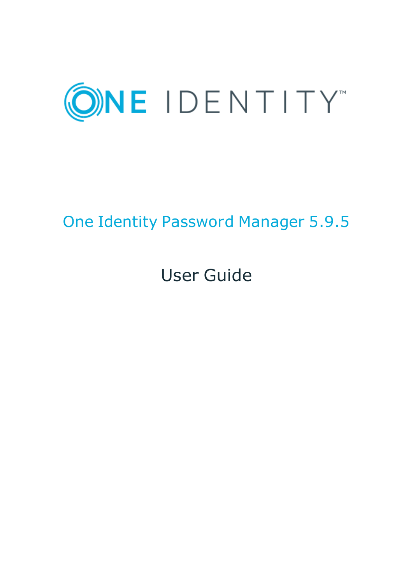

# One Identity Password Manager 5.9.5

# User Guide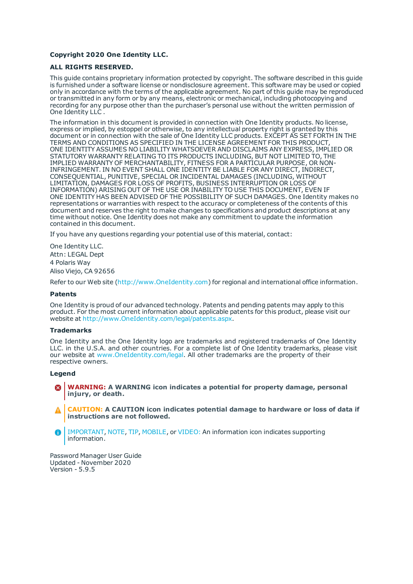### **Copyright 2020 One Identity LLC.**

#### **ALL RIGHTS RESERVED.**

This guide contains proprietary information protected by copyright. The software described in this guide is furnished under a software license or nondisclosure agreement. This software may be used or copied only in accordance with the terms of the applicable agreement. No part of this guide may be reproduced or transmitted in any form or by any means, electronic or mechanical, including photocopying and recording for any purpose other than the purchaser's personal use without the written permission of One Identity LLC .

The information in this document is provided in connection with One Identity products. No license, express or implied, by estoppel or otherwise, to any intellectual property right is granted by this document or in connection with the sale of One Identity LLC products. EXCEPT AS SET FORTH IN THE TERMS AND CONDITIONS AS SPECIFIED IN THE LICENSE AGREEMENT FOR THIS PRODUCT, ONE IDENTITY ASSUMES NO LIABILITY WHATSOEVER AND DISCLAIMS ANY EXPRESS, IMPLIED OR STATUTORY WARRANTY RELATING TO ITS PRODUCTS INCLUDING, BUT NOT LIMITED TO, THE IMPLIED WARRANTY OF MERCHANTABILITY, FITNESS FOR A PARTICULAR PURPOSE, OR NON-INFRINGEMENT. IN NO EVENT SHALL ONE IDENTITY BE LIABLE FOR ANY DIRECT, INDIRECT, CONSEQUENTIAL, PUNITIVE, SPECIAL OR INCIDENTAL DAMAGES (INCLUDING, WITHOUT LIMITATION, DAMAGES FOR LOSS OF PROFITS, BUSINESS INTERRUPTION OR LOSS OF INFORMATION) ARISING OUT OF THE USE OR INABILITY TO USE THIS DOCUMENT, EVEN IF ONE IDENTITY HAS BEEN ADVISED OF THE POSSIBILITY OF SUCH DAMAGES. One Identity makes no representations or warranties with respect to the accuracy or completeness of the contents of this document and reserves the right to make changes to specifications and product descriptions at any time without notice. One Identity does not make any commitment to update the information contained in this document.

If you have any questions regarding your potential use of this material, contact:

One Identity LLC. Attn: LEGAL Dept 4 Polaris Way Aliso Viejo, CA 92656

Refer to our Web site ([http://www.OneIdentity.com](http://www.oneidentity.com/)) for regional and international office information.

#### **Patents**

One Identity is proud of our advanced technology. Patents and pending patents may apply to this product. For the most current information about applicable patents for this product, please visit our website at [http://www.OneIdentity.com/legal/patents.aspx](http://www.oneidentity.com/legal/patents.aspx).

#### **Trademarks**

One Identity and the One Identity logo are trademarks and registered trademarks of One Identity LLC. in the U.S.A. and other countries. For a complete list of One Identity trademarks, please visit our website at [www.OneIdentity.com/legal](http://www.oneidentity.com/legal). All other trademarks are the property of their respective owners.

#### **Legend**

- **WARNING: A WARNING icon indicates a potential for property damage, personal injury, or death.**
- **CAUTION: A CAUTION icon indicates potential damage to hardware or loss of data if instructions are not followed.**
- IMPORTANT, NOTE, TIP, MOBILE, or VIDEO: An information icon indicates supporting Œ information.

Password Manager User Guide Updated - November 2020 Version - 5.9.5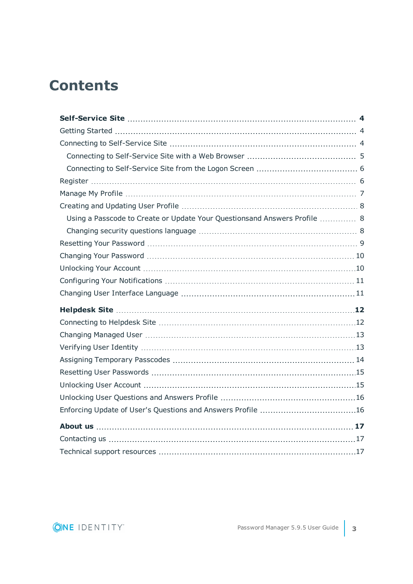# **Contents**

| Using a Passcode to Create or Update Your Questionsand Answers Profile  8 |  |
|---------------------------------------------------------------------------|--|
|                                                                           |  |
|                                                                           |  |
|                                                                           |  |
|                                                                           |  |
|                                                                           |  |
|                                                                           |  |
|                                                                           |  |
|                                                                           |  |
|                                                                           |  |
|                                                                           |  |
|                                                                           |  |
|                                                                           |  |
|                                                                           |  |
|                                                                           |  |
|                                                                           |  |
|                                                                           |  |
|                                                                           |  |
|                                                                           |  |

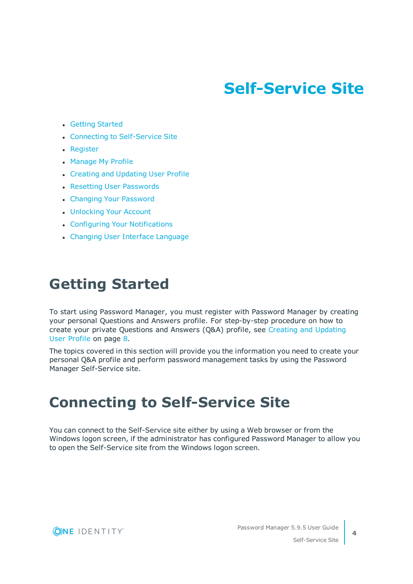# **Self-Service Site**

- <span id="page-3-0"></span>• Getting [Started](#page-3-1)
- Connecting to [Self-Service](#page-3-2) Site
- [Register](#page-5-1)
- [Manage](#page-6-0) My Profile
- Creating and Updating User Profile
- Resetting User [Passwords](#page-14-0)
- Changing Your [Password](#page-9-0)
- [Unlocking](#page-9-1) Your Account
- Configuring Your [Notifications](#page-10-0)
- Changing User Interface [Language](#page-10-1)

## <span id="page-3-1"></span>**Getting Started**

To start using Password Manager, you must register with Password Manager by creating your personal Questions and Answers profile. For step-by-step procedure on how to create your private Questions and Answers (Q&A) profile, see Creating and [Updating](#page-7-0)  User [Profile](#page-7-0) on page 8.

The topics covered in this section will provide you the information you need to create your personal Q&A profile and perform password management tasks by using the Password Manager Self-Service site.

# <span id="page-3-2"></span>**Connecting to Self-Service Site**

You can connect to the Self-Service site either by using a Web browser or from the Windows logon screen, if the administrator has configured Password Manager to allow you to open the Self-Service site from the Windows logon screen.



**4**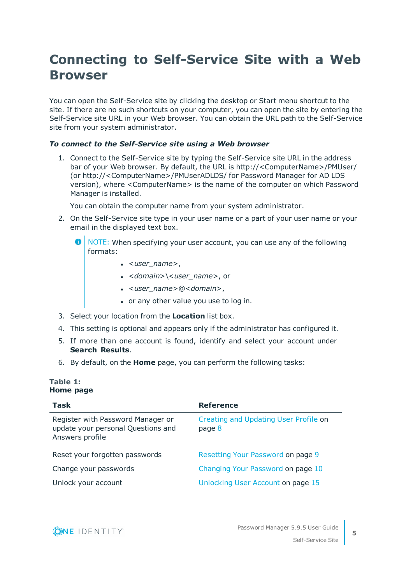## <span id="page-4-0"></span>**Connecting to Self-Service Site with a Web Browser**

You can open the Self-Service site by clicking the desktop or Start menu shortcut to the site. If there are no such shortcuts on your computer, you can open the site by entering the Self-Service site URL in your Web browser. You can obtain the URL path to the Self-Service site from your system administrator.

## *To connect to the Self-Service site using a Web browser*

1. Connect to the Self-Service site by typing the Self-Service site URL in the address bar of your Web browser. By default, the URL is http://<ComputerName>/PMUser/ (or http://<ComputerName>/PMUserADLDS/ for Password Manager for AD LDS version), where <ComputerName> is the name of the computer on which Password Manager is installed.

You can obtain the computer name from your system administrator.

- 2. On the Self-Service site type in your user name or a part of your user name or your email in the displayed text box.
	- Œ NOTE: When specifying your user account, you can use any of the following formats:
		- <sup>l</sup> <*user\_name*>,
		- <sup>l</sup> <*domain*>\<*user\_name*>, or
		- <sup>l</sup> <*user\_name*>@<*domain*>,
		- or any other value you use to log in.
- 3. Select your location from the **Location** list box.
- 4. This setting is optional and appears only if the administrator has configured it.
- 5. If more than one account is found, identify and select your account under **Search Results**.
- 6. By default, on the **Home** page, you can perform the following tasks:

### **Table 1: Home page**

| Task                                                                                       | <b>Reference</b>                                |
|--------------------------------------------------------------------------------------------|-------------------------------------------------|
| Register with Password Manager or<br>update your personal Questions and<br>Answers profile | Creating and Updating User Profile on<br>page 8 |
| Reset your forgotten passwords                                                             | Resetting Your Password on page 9               |
| Change your passwords                                                                      | Changing Your Password on page 10               |
| Unlock your account                                                                        | Unlocking User Account on page 15               |

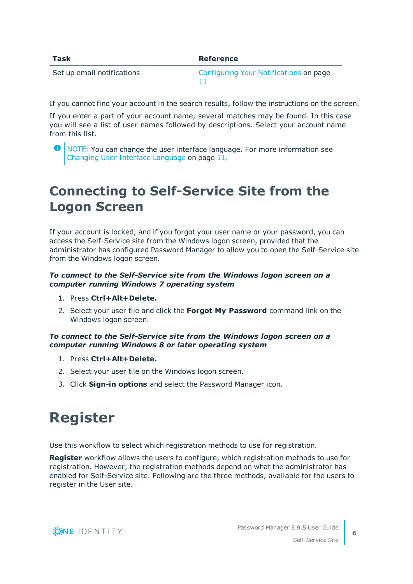| Task                       | <b>Reference</b>                       |
|----------------------------|----------------------------------------|
| Set up email notifications | Configuring Your Notifications on page |

If you cannot find your account in the search results, follow the instructions on the screen.

If you enter a part of your account name, several matches may be found. In this case you will see a list of user names followed by descriptions. Select your account name from this list.

## <span id="page-5-0"></span>**Connecting to Self-Service Site from the Logon Screen**

If your account is locked, and if you forgot your user name or your password, you can access the Self-Service site from the Windows logon screen, provided that the administrator has configured Password Manager to allow you to open the Self-Service site from the Windows logon screen.

## *To connect to the Self-Service site from the Windows logon screen on a computer running Windows 7 operating system*

- 1. Press **Ctrl+Alt+Delete.**
- 2. Select your user tile and click the **Forgot My Password** command link on the Windows logon screen.

## *To connect to the Self-Service site from the Windows logon screen on a computer running Windows 8 or later operating system*

- 1. Press **Ctrl+Alt+Delete.**
- 2. Select your user tile on the Windows logon screen.
- <span id="page-5-1"></span>3. Click **Sign-in options** and select the Password Manager icon.

# **Register**

Use this workflow to select which registration methods to use for registration.

**Register** workflow allows the users to configure, which registration methods to use for registration. However, the registration methods depend on what the administrator has enabled for Self-Service site. Following are the three methods, available for the users to register in the User site.



**O** NOTE: You can change the user interface language. For more information see Changing User Interface [Language](#page-10-1) on page 11.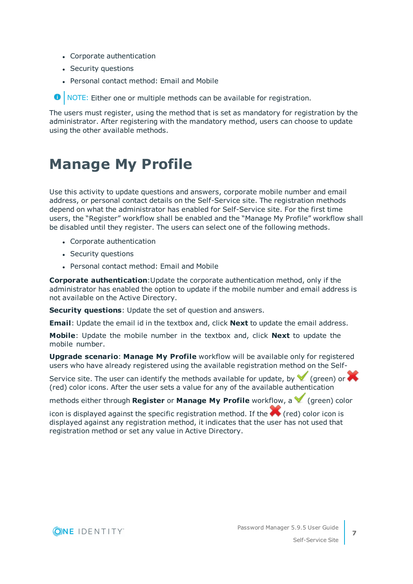- Corporate authentication
- Security questions
- Personal contact method: Email and Mobile

**O** NOTE: Either one or multiple methods can be available for registration.

The users must register, using the method that is set as mandatory for registration by the administrator. After registering with the mandatory method, users can choose to update using the other available methods.

## <span id="page-6-0"></span>**Manage My Profile**

Use this activity to update questions and answers, corporate mobile number and email address, or personal contact details on the Self-Service site. The registration methods depend on what the administrator has enabled for Self-Service site. For the first time users, the "Register" workflow shall be enabled and the "Manage My Profile" workflow shall be disabled until they register. The users can select one of the following methods.

- Corporate authentication
- Security questions
- Personal contact method: Email and Mobile

**Corporate authentication**:Update the corporate authentication method, only if the administrator has enabled the option to update if the mobile number and email address is not available on the Active Directory.

**Security questions**: Update the set of question and answers.

**Email**: Update the email id in the textbox and, click **Next** to update the email address.

**Mobile**: Update the mobile number in the textbox and, click **Next** to update the mobile number.

**Upgrade scenario**: **Manage My Profile** workflow will be available only for registered users who have already registered using the available registration method on the Self-

Service site. The user can identify the methods available for update, by  $\blacktriangledown$  (green) or  $\blacktriangledown$ (red) color icons. After the user sets a value for any of the available authentication

methods either through **Register** or **Manage My Profile** workflow, a  $\blacksquare$  (green) color

icon is displayed against the specific registration method. If the  $\blacktriangle$  (red) color icon is displayed against any registration method, it indicates that the user has not used that registration method or set any value in Active Directory.

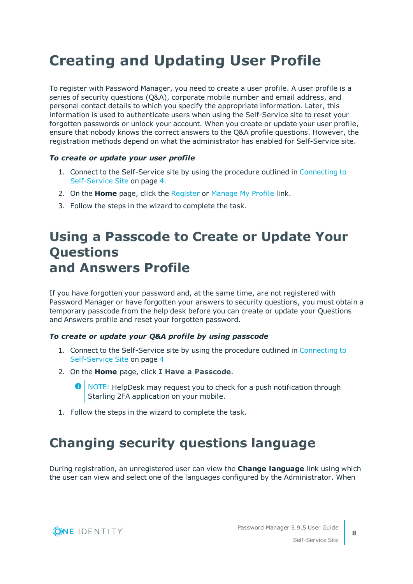# <span id="page-7-0"></span>**Creating and Updating User Profile**

To register with Password Manager, you need to create a user profile. A user profile is a series of security questions (Q&A), corporate mobile number and email address, and personal contact details to which you specify the appropriate information. Later, this information is used to authenticate users when using the Self-Service site to reset your forgotten passwords or unlock your account. When you create or update your user profile, ensure that nobody knows the correct answers to the Q&A profile questions. However, the registration methods depend on what the administrator has enabled for Self-Service site.

### *To create or update your user profile*

- 1. Connect to the Self-Service site by using the procedure outlined in [Connecting](#page-3-2) to [Self-Service](#page-3-2) Site on page 4.
- 2. On the **Home** page, click the [Register](#page-5-1) or [Manage](#page-6-0) My Profile link.
- <span id="page-7-1"></span>3. Follow the steps in the wizard to complete the task.

## **Using a Passcode to Create or Update Your Questions and Answers Profile**

If you have forgotten your password and, at the same time, are not registered with Password Manager or have forgotten your answers to security questions, you must obtain a temporary passcode from the help desk before you can create or update your Questions and Answers profile and reset your forgotten password.

### *To create or update your Q&A profile by using passcode*

- 1. Connect to the Self-Service site by using the procedure outlined in [Connecting](#page-3-2) to [Self-Service](#page-3-2) Site on page 4
- 2. On the **Home** page, click **I Have a Passcode**.
	- NOTE: HelpDesk may request you to check for a push notification through Starling 2FA application on your mobile.
- <span id="page-7-2"></span>1. Follow the steps in the wizard to complete the task.

## **Changing security questions language**

During registration, an unregistered user can view the **Change language** link using which the user can view and select one of the languages configured by the Administrator. When



**8**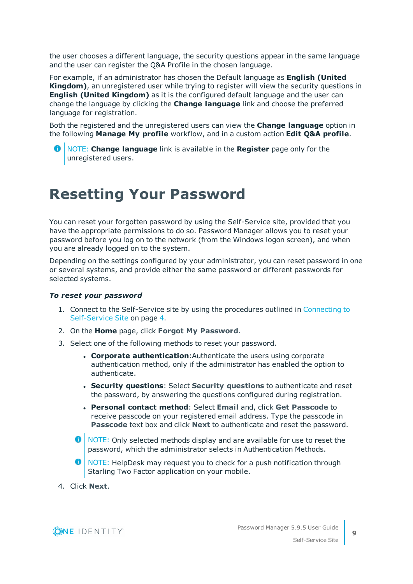the user chooses a different language, the security questions appear in the same language and the user can register the Q&A Profile in the chosen language.

For example, if an administrator has chosen the Default language as **English (United Kingdom)**, an unregistered user while trying to register will view the security questions in **English (United Kingdom)** as it is the configured default language and the user can change the language by clicking the **Change language** link and choose the preferred language for registration.

Both the registered and the unregistered users can view the **Change language** option in the following **Manage My profile** workflow, and in a custom action **Edit Q&A profile**.

NOTE: **Change language** link is available in the **Register** page only for the unregistered users.

# <span id="page-8-0"></span>**Resetting Your Password**

You can reset your forgotten password by using the Self-Service site, provided that you have the appropriate permissions to do so. Password Manager allows you to reset your password before you log on to the network (from the Windows logon screen), and when you are already logged on to the system.

Depending on the settings configured by your administrator, you can reset password in one or several systems, and provide either the same password or different passwords for selected systems.

### *To reset your password*

- 1. Connect to the Self-Service site by using the procedures outlined in [Connecting](#page-3-2) to [Self-Service](#page-3-2) Site on page 4.
- 2. On the **Home** page, click **Forgot My Password**.
- 3. Select one of the following methods to reset your password.
	- <sup>l</sup> **Corporate authentication**:Authenticate the users using corporate authentication method, only if the administrator has enabled the option to authenticate.
	- <sup>l</sup> **Security questions**: Select **Security questions** to authenticate and reset the password, by answering the questions configured during registration.
	- <sup>l</sup> **Personal contact method**: Select **Email** and, click **Get Passcode** to receive passcode on your registered email address. Type the passcode in **Passcode** text box and click **Next** to authenticate and reset the password.
	- **O** NOTE: Only selected methods display and are available for use to reset the password, which the administrator selects in Authentication Methods.
	- **O** NOTE: HelpDesk may request you to check for a push notification through Starling Two Factor application on your mobile.
- 4. Click **Next**.

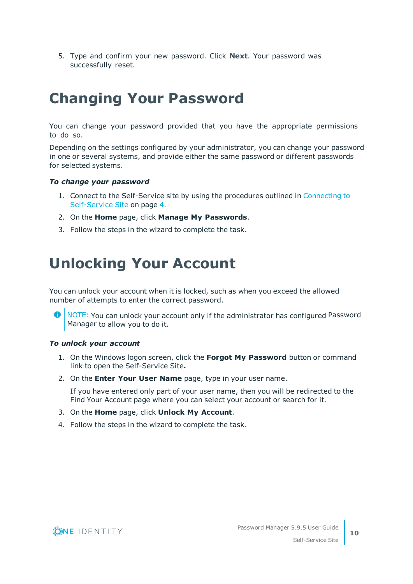5. Type and confirm your new password. Click **Next**. Your password was successfully reset.

# <span id="page-9-0"></span>**Changing Your Password**

You can change your password provided that you have the appropriate permissions to do so.

Depending on the settings configured by your administrator, you can change your password in one or several systems, and provide either the same password or different passwords for selected systems.

### *To change your password*

- 1. Connect to the Self-Service site by using the procedures outlined in [Connecting](#page-3-2) to [Self-Service](#page-3-2) Site on page 4.
- 2. On the **Home** page, click **Manage My Passwords**.
- <span id="page-9-1"></span>3. Follow the steps in the wizard to complete the task.

## **Unlocking Your Account**

You can unlock your account when it is locked, such as when you exceed the allowed number of attempts to enter the correct password.

6 NOTE: You can unlock your account only if the administrator has configured Password Manager to allow you to do it.

### *To unlock your account*

- 1. On the Windows logon screen, click the **Forgot My Password** button or command link to open the Self-Service Site**.**
- 2. On the **Enter Your User Name** page, type in your user name.

If you have entered only part of your user name, then you will be redirected to the Find Your Account page where you can select your account or search for it.

- 3. On the **Home** page, click **Unlock My Account**.
- 4. Follow the steps in the wizard to complete the task.

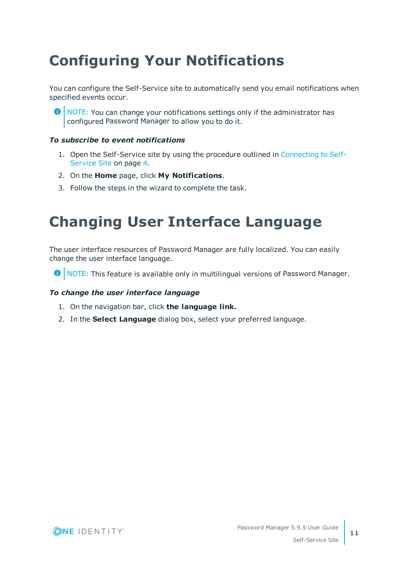# <span id="page-10-0"></span>**Configuring Your Notifications**

You can configure the Self-Service site to automatically send you email notifications when specified events occur.

**O** NOTE: You can change your notifications settings only if the administrator has configured Password Manager to allow you to do it.

## *To subscribe to event notifications*

- 1. Open the Self-Service site by using the procedure outlined in [Connecting](#page-3-2) to Self-[Service](#page-3-2) Site on page 4.
- 2. On the **Home** page, click **My Notifications**.
- <span id="page-10-1"></span>3. Follow the steps in the wizard to complete the task.

## **Changing User Interface Language**

The user interface resources of Password Manager are fully localized. You can easily change the user interface language.

**O** NOTE: This feature is available only in multilingual versions of Password Manager.

## *To change the user interface language*

- 1. On the navigation bar, click **the language link.**
- 2. In the **Select Language** dialog box, select your preferred language.

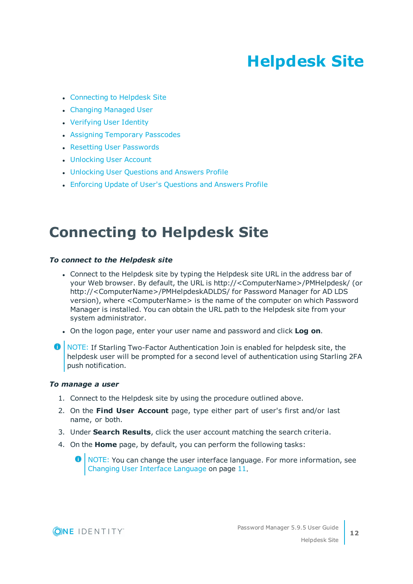# **Helpdesk Site**

- <span id="page-11-0"></span>• [Connecting](#page-11-1) to Helpdesk Site
- [Changing](#page-12-0) Managed User
- [Verifying](#page-12-1) User Identity
- Assigning [Temporary](#page-13-0) Passcodes
- Resetting User [Passwords](#page-14-0)
- [Unlocking](#page-14-1) User Account
- **.** [Unlocking](#page-15-0) User Questions and Answers Profile
- Enforcing Update of User's [Questions](#page-15-1) and Answers Profile

# <span id="page-11-1"></span>**Connecting to Helpdesk Site**

### *To connect to the Helpdesk site*

- Connect to the Helpdesk site by typing the Helpdesk site URL in the address bar of your Web browser. By default, the URL is http://<ComputerName>/PMHelpdesk/ (or http://<ComputerName>/PMHelpdeskADLDS/ for Password Manager for AD LDS version), where <ComputerName> is the name of the computer on which Password Manager is installed. You can obtain the URL path to the Helpdesk site from your system administrator.
- <sup>l</sup> On the logon page, enter your user name and password and click **Log on**.
- **O** NOTE: If Starling Two-Factor Authentication Join is enabled for helpdesk site, the helpdesk user will be prompted for a second level of authentication using Starling 2FA push notification.

### *To manage a user*

- 1. Connect to the Helpdesk site by using the procedure outlined above.
- 2. On the **Find User Account** page, type either part of user's first and/or last name, or both.
- 3. Under **Search Results**, click the user account matching the search criteria.
- 4. On the **Home** page, by default, you can perform the following tasks:

**O** NOTE: You can change the user interface language. For more information, see Changing User Interface [Language](#page-10-1) on page 11.

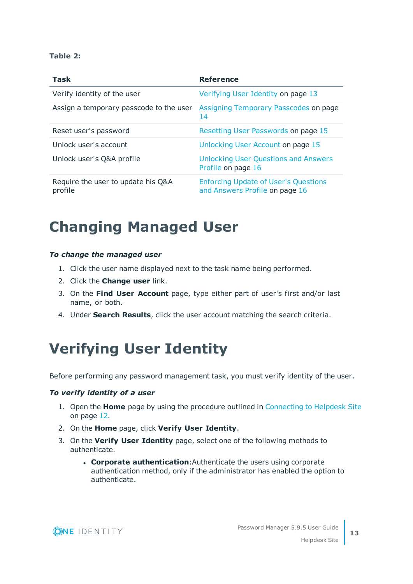## **Table 2:**

| <b>Task</b>                                   | <b>Reference</b>                                                              |
|-----------------------------------------------|-------------------------------------------------------------------------------|
| Verify identity of the user                   | Verifying User Identity on page 13                                            |
| Assign a temporary passcode to the user       | Assigning Temporary Passcodes on page<br>14                                   |
| Reset user's password                         | Resetting User Passwords on page 15                                           |
| Unlock user's account                         | Unlocking User Account on page 15                                             |
| Unlock user's Q&A profile                     | <b>Unlocking User Questions and Answers</b><br>Profile on page 16             |
| Require the user to update his Q&A<br>profile | <b>Enforcing Update of User's Questions</b><br>and Answers Profile on page 16 |

# <span id="page-12-0"></span>**Changing Managed User**

### *To change the managed user*

- 1. Click the user name displayed next to the task name being performed.
- 2. Click the **Change user** link.
- 3. On the **Find User Account** page, type either part of user's first and/or last name, or both.
- <span id="page-12-1"></span>4. Under **Search Results**, click the user account matching the search criteria.

# **Verifying User Identity**

Before performing any password management task, you must verify identity of the user.

### *To verify identity of a user*

- 1. Open the **Home** page by using the procedure outlined in [Connecting](#page-11-1) to Helpdesk Site on [page](#page-11-1) 12.
- 2. On the **Home** page, click **Verify User Identity**.
- 3. On the **Verify User Identity** page, select one of the following methods to authenticate.
	- **. Corporate authentication:** Authenticate the users using corporate authentication method, only if the administrator has enabled the option to authenticate.

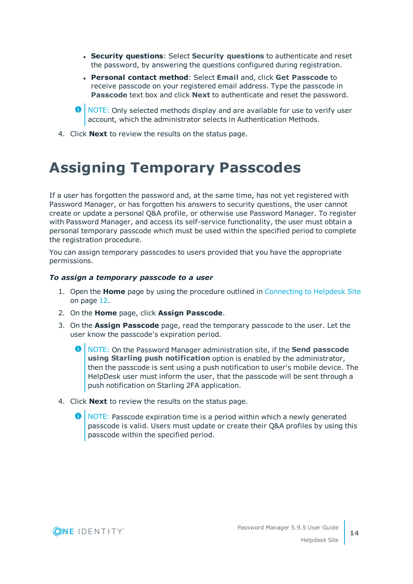- <sup>l</sup> **Security questions**: Select **Security questions** to authenticate and reset the password, by answering the questions configured during registration.
- <sup>l</sup> **Personal contact method**: Select **Email** and, click **Get Passcode** to receive passcode on your registered email address. Type the passcode in **Passcode** text box and click **Next** to authenticate and reset the password.
- **O** NOTE: Only selected methods display and are available for use to verify user account, which the administrator selects in Authentication Methods.
- <span id="page-13-0"></span>4. Click **Next** to review the results on the status page.

## **Assigning Temporary Passcodes**

If a user has forgotten the password and, at the same time, has not yet registered with Password Manager, or has forgotten his answers to security questions, the user cannot create or update a personal Q&A profile, or otherwise use Password Manager. To register with Password Manager, and access its self-service functionality, the user must obtain a personal temporary passcode which must be used within the specified period to complete the registration procedure.

You can assign temporary passcodes to users provided that you have the appropriate permissions.

### *To assign a temporary passcode to a user*

- 1. Open the **Home** page by using the procedure outlined in [Connecting](#page-11-1) to Helpdesk Site on [page](#page-11-1) 12.
- 2. On the **Home** page, click **Assign Passcode**.
- 3. On the **Assign Passcode** page, read the temporary passcode to the user. Let the user know the passcode's expiration period.
	- NOTE: On the Password Manager administration site, if the **Send passcode using Starling push notification** option is enabled by the administrator, then the passcode is sent using a push notification to user's mobile device. The HelpDesk user must inform the user, that the passcode will be sent through a push notification on Starling 2FA application.
- 4. Click **Next** to review the results on the status page.
	- NOTE: Passcode expiration time is a period within which a newly generated passcode is valid. Users must update or create their Q&A profiles by using this passcode within the specified period.

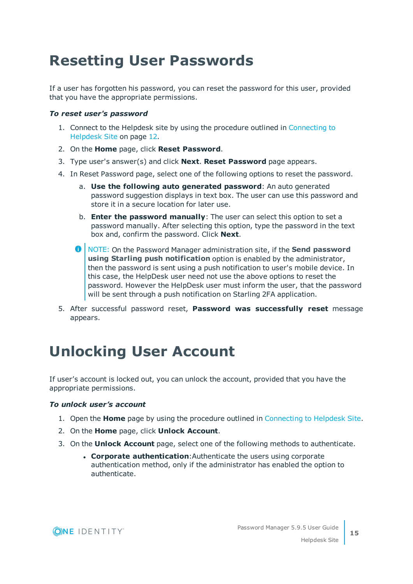# <span id="page-14-0"></span>**Resetting User Passwords**

If a user has forgotten his password, you can reset the password for this user, provided that you have the appropriate permissions.

## *To reset user's password*

- 1. Connect to the Helpdesk site by using the procedure outlined in [Connecting](#page-11-1) to [Helpdesk](#page-11-1) Site on page 12.
- 2. On the **Home** page, click **Reset Password**.
- 3. Type user's answer(s) and click **Next**. **Reset Password** page appears.
- 4. In Reset Password page, select one of the following options to reset the password.
	- a. **Use the following auto generated password**: An auto generated password suggestion displays in text box. The user can use this password and store it in a secure location for later use.
	- b. **Enter the password manually**: The user can select this option to set a password manually. After selecting this option, type the password in the text box and, confirm the password. Click **Next**.
	- $\bullet$ NOTE: On the Password Manager administration site, if the **Send password using Starling push notification** option is enabled by the administrator, then the password is sent using a push notification to user's mobile device. In this case, the HelpDesk user need not use the above options to reset the password. However the HelpDesk user must inform the user, that the password will be sent through a push notification on Starling 2FA application.
- 5. After successful password reset, **Password was successfully reset** message appears.

# <span id="page-14-1"></span>**Unlocking User Account**

If user's account is locked out, you can unlock the account, provided that you have the appropriate permissions.

## *To unlock user's account*

- 1. Open the **Home** page by using the procedure outlined in [Connecting](#page-11-1) to Helpdesk Site.
- 2. On the **Home** page, click **Unlock Account**.
- 3. On the **Unlock Account** page, select one of the following methods to authenticate.
	- <sup>l</sup> **Corporate authentication**:Authenticate the users using corporate authentication method, only if the administrator has enabled the option to authenticate.

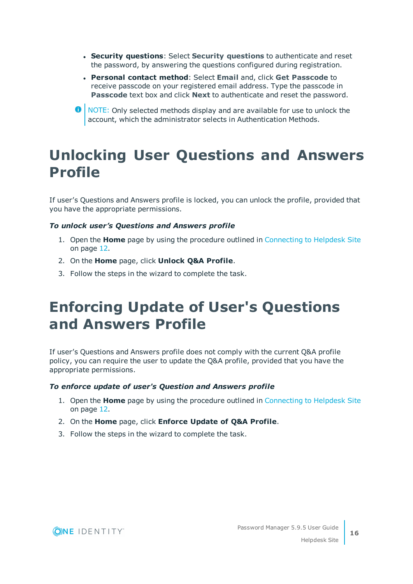- <sup>l</sup> **Security questions**: Select **Security questions** to authenticate and reset the password, by answering the questions configured during registration.
- <sup>l</sup> **Personal contact method**: Select **Email** and, click **Get Passcode** to receive passcode on your registered email address. Type the passcode in **Passcode** text box and click **Next** to authenticate and reset the password.
- **O** NOTE: Only selected methods display and are available for use to unlock the account, which the administrator selects in Authentication Methods.

# <span id="page-15-0"></span>**Unlocking User Questions and Answers Profile**

If user's Questions and Answers profile is locked, you can unlock the profile, provided that you have the appropriate permissions.

## *To unlock user's Questions and Answers profile*

- 1. Open the **Home** page by using the procedure outlined in [Connecting](#page-11-1) to Helpdesk Site on [page](#page-11-1) 12.
- 2. On the **Home** page, click **Unlock Q&A Profile**.
- <span id="page-15-1"></span>3. Follow the steps in the wizard to complete the task.

# **Enforcing Update of User's Questions and Answers Profile**

If user's Questions and Answers profile does not comply with the current Q&A profile policy, you can require the user to update the Q&A profile, provided that you have the appropriate permissions.

## *To enforce update of user's Question and Answers profile*

- 1. Open the **Home** page by using the procedure outlined in [Connecting](#page-11-1) to Helpdesk Site on [page](#page-11-1) 12.
- 2. On the **Home** page, click **Enforce Update of Q&A Profile**.
- 3. Follow the steps in the wizard to complete the task.